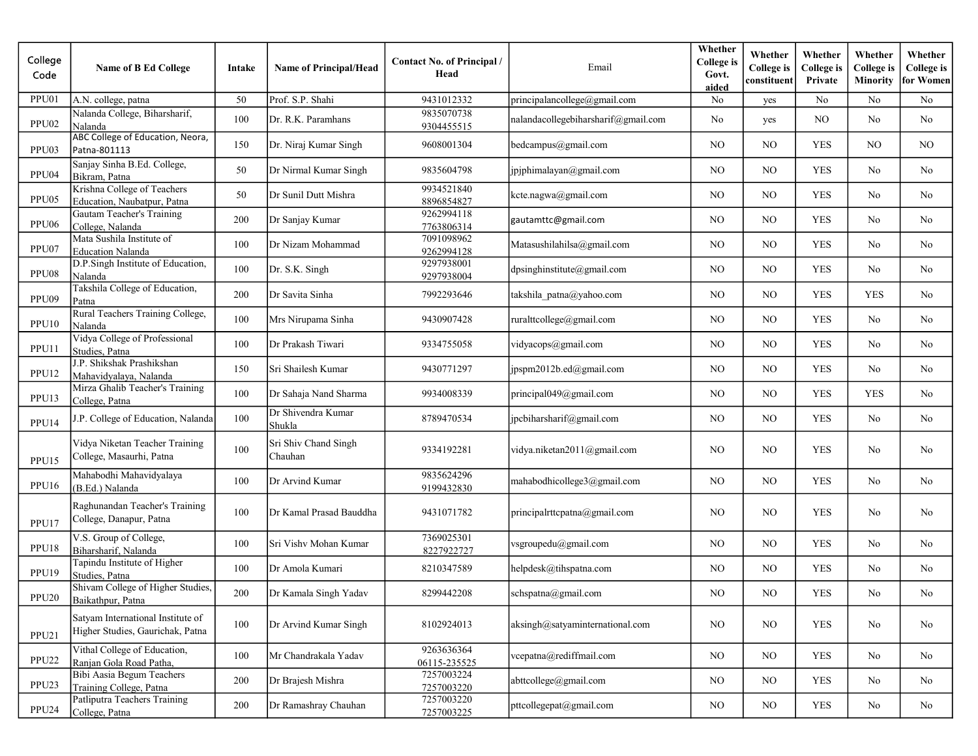| College<br>Code   | <b>Name of B Ed College</b>                                           | Intake | <b>Name of Principal/Head</b>   | <b>Contact No. of Principal /</b><br>Head | Email                               | Whether<br><b>College</b> is<br>Govt.<br>aided | Whether<br><b>College</b> is<br>constituent | Whether<br>College is<br>Private | Whether<br><b>College</b> is<br>Minority | Whether<br><b>College</b> is<br>for Women |
|-------------------|-----------------------------------------------------------------------|--------|---------------------------------|-------------------------------------------|-------------------------------------|------------------------------------------------|---------------------------------------------|----------------------------------|------------------------------------------|-------------------------------------------|
| PPU01             | A.N. college, patna                                                   | 50     | Prof. S.P. Shahi                | 9431012332                                | principalancollege@gmail.com        | No                                             | yes                                         | No                               | No                                       | No                                        |
| PPU02             | Nalanda College, Biharsharif,<br>Nalanda                              | 100    | Dr. R.K. Paramhans              | 9835070738<br>9304455515                  | nalandacollegebiharsharif@gmail.com | No                                             | yes                                         | N <sub>O</sub>                   | No                                       | No                                        |
| PPU03             | ABC College of Education, Neora,<br>Patna-801113                      | 150    | Dr. Niraj Kumar Singh           | 9608001304                                | bedcampus@gmail.com                 | NO                                             | NO.                                         | <b>YES</b>                       | N <sub>O</sub>                           | NO.                                       |
| PPU04             | Sanjay Sinha B.Ed. College,<br>Bikram, Patna                          | 50     | Dr Nirmal Kumar Singh           | 9835604798                                | jpjphimalayan@gmail.com             | NO.                                            | NO.                                         | YES                              | No                                       | No.                                       |
| PPU05             | Krishna College of Teachers<br>Education, Naubatpur, Patna            | 50     | Dr Sunil Dutt Mishra            | 9934521840<br>8896854827                  | kcte.nagwa@gmail.com                | N <sub>O</sub>                                 | NO                                          | <b>YES</b>                       | No                                       | No                                        |
| PPU06             | Gautam Teacher's Training<br>College, Nalanda                         | 200    | Dr Sanjay Kumar                 | 9262994118<br>7763806314                  | gautamttc@gmail.com                 | NO.                                            | N <sub>O</sub>                              | <b>YES</b>                       | No                                       | No                                        |
| PPU07             | Mata Sushila Institute of<br><b>Education Nalanda</b>                 | 100    | Dr Nizam Mohammad               | 7091098962<br>9262994128                  | Matasushilahilsa@gmail.com          | NO.                                            | NO                                          | <b>YES</b>                       | No                                       | No                                        |
| PPU08             | D.P.Singh Institute of Education,<br>Nalanda                          | 100    | Dr. S.K. Singh                  | 9297938001<br>9297938004                  | dpsinghinstitute@gmail.com          | NO.                                            | NO.                                         | <b>YES</b>                       | No                                       | No                                        |
| PPU09             | Takshila College of Education,<br>Patna                               | 200    | Dr Savita Sinha                 | 7992293646                                | takshila patna@yahoo.com            | NO                                             | NO                                          | <b>YES</b>                       | <b>YES</b>                               | No                                        |
| PPU10             | Rural Teachers Training College,<br>Nalanda                           | 100    | Mrs Nirupama Sinha              | 9430907428                                | ruralttcollege@gmail.com            | NO.                                            | NO.                                         | <b>YES</b>                       | No                                       | No                                        |
| PPU11             | Vidya College of Professional<br>Studies, Patna                       | 100    | Dr Prakash Tiwari               | 9334755058                                | vidyacops@gmail.com                 | NO.                                            | NO.                                         | <b>YES</b>                       | No                                       | N <sub>o</sub>                            |
| PPU12             | J.P. Shikshak Prashikshan<br>Mahavidyalaya, Nalanda                   | 150    | Sri Shailesh Kumar              | 9430771297                                | jpspm2012b.ed@gmail.com             | NO.                                            | NO.                                         | <b>YES</b>                       | No                                       | No                                        |
| PPU13             | Mirza Ghalib Teacher's Training<br>College, Patna                     | 100    | Dr Sahaja Nand Sharma           | 9934008339                                | principal049@gmail.com              | NO.                                            | NO.                                         | <b>YES</b>                       | <b>YES</b>                               | No                                        |
| PPU14             | J.P. College of Education, Nalanda                                    | 100    | Dr Shivendra Kumar<br>Shukla    | 8789470534                                | jpcbiharsharif@gmail.com            | NO.                                            | NO                                          | <b>YES</b>                       | No                                       | No                                        |
| PPU15             | Vidya Niketan Teacher Training<br>College, Masaurhi, Patna            | 100    | Sri Shiv Chand Singh<br>Chauhan | 9334192281                                | vidya.niketan2011@gmail.com         | NO                                             | NO                                          | <b>YES</b>                       | No                                       | No                                        |
| PPU16             | Mahabodhi Mahavidyalaya<br>(B.Ed.) Nalanda                            | 100    | Dr Arvind Kumar                 | 9835624296<br>9199432830                  | mahabodhicollege3@gmail.com         | NO.                                            | NO                                          | <b>YES</b>                       | No                                       | No                                        |
| PPU17             | Raghunandan Teacher's Training<br>College, Danapur, Patna             | 100    | Dr Kamal Prasad Bauddha         | 9431071782                                | principalrttcpatna@gmail.com        | NO.                                            | NO.                                         | <b>YES</b>                       | No                                       | No                                        |
| PPU18             | V.S. Group of College,<br>Biharsharif, Nalanda                        | 100    | Sri Vishv Mohan Kumar           | 7369025301<br>8227922727                  | vsgroupedu@gmail.com                | NO.                                            | NO.                                         | <b>YES</b>                       | No                                       | No                                        |
| PPU19             | Tapindu Institute of Higher<br>Studies, Patna                         | 100    | Dr Amola Kumari                 | 8210347589                                | helpdesk@tihspatna.com              | NO                                             | NO.                                         | <b>YES</b>                       | No                                       | No                                        |
| PPU <sub>20</sub> | Shivam College of Higher Studies,<br>Baikathpur, Patna                | 200    | Dr Kamala Singh Yadav           | 8299442208                                | schspatna@gmail.com                 | NO                                             | $\rm NO$                                    | <b>YES</b>                       | No                                       | No                                        |
| PPU21             | Satyam International Institute of<br>Higher Studies, Gaurichak, Patna | 100    | Dr Arvind Kumar Singh           | 8102924013                                | aksingh@satyaminternational.com     | NO.                                            | NO                                          | <b>YES</b>                       | No                                       | No                                        |
| PPU <sub>22</sub> | Vithal College of Education,<br>Ranjan Gola Road Patha,               | 100    | Mr Chandrakala Yadav            | 9263636364<br>06115-235525                | vcepatna@rediffmail.com             | NO                                             | NO.                                         | <b>YES</b>                       | No                                       | No                                        |
| PPU23             | Bibi Aasia Begum Teachers<br>Training College, Patna                  | 200    | Dr Brajesh Mishra               | 7257003224<br>7257003220                  | abttcollege@gmail.com               | NO.                                            | NO                                          | <b>YES</b>                       | No                                       | No                                        |
| PPU <sub>24</sub> | Patliputra Teachers Training<br>College, Patna                        | 200    | Dr Ramashray Chauhan            | 7257003220<br>7257003225                  | pttcollegepat@gmail.com             | NO                                             | $_{\rm NO}$                                 | <b>YES</b>                       | No                                       | No                                        |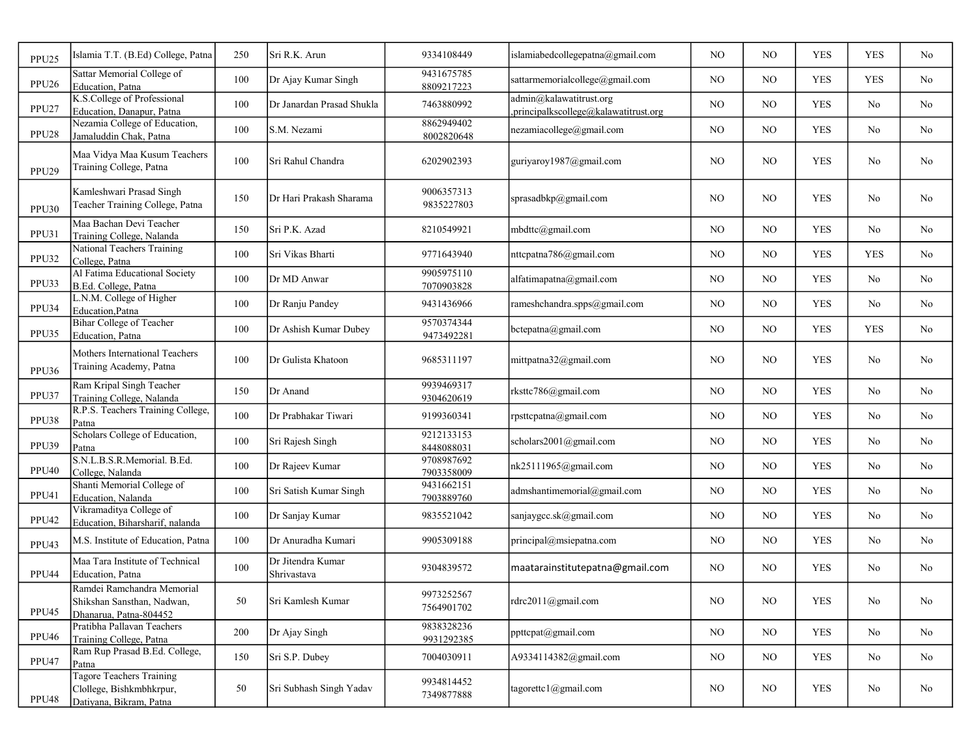| PPU <sub>25</sub> | Islamia T.T. (B.Ed) College, Patna                                                     | 250    | Sri R.K. Arun                    | 9334108449               | islamiabedcollegepatna@gmail.com                                | N <sub>O</sub> | N <sub>O</sub> | <b>YES</b> | <b>YES</b>     | No             |
|-------------------|----------------------------------------------------------------------------------------|--------|----------------------------------|--------------------------|-----------------------------------------------------------------|----------------|----------------|------------|----------------|----------------|
| PPU <sub>26</sub> | Sattar Memorial College of<br>Education, Patna                                         | 100    | Dr Ajay Kumar Singh              | 9431675785<br>8809217223 | sattarmemorialcollege@gmail.com                                 | NO.            | NO             | <b>YES</b> | <b>YES</b>     | No             |
| PPU <sub>27</sub> | K.S.College of Professional<br>Education, Danapur, Patna                               | 100    | Dr Janardan Prasad Shukla        | 7463880992               | admin@kalawatitrust.org<br>principalkscollege@kalawatitrust.org | NO.            | NO             | <b>YES</b> | No             | No             |
| PPU <sub>28</sub> | Nezamia College of Education,<br>Jamaluddin Chak, Patna                                | 100    | S.M. Nezami                      | 8862949402<br>8002820648 | nezamiacollege@gmail.com                                        | NO             | NO.            | <b>YES</b> | No             | No             |
| PPU <sub>29</sub> | Maa Vidya Maa Kusum Teachers<br>Training College, Patna                                | 100    | Sri Rahul Chandra                | 6202902393               | guriyaroy1987@gmail.com                                         | N <sub>O</sub> | NO             | <b>YES</b> | No             | No             |
| PPU30             | Kamleshwari Prasad Singh<br>Teacher Training College, Patna                            | 150    | Dr Hari Prakash Sharama          | 9006357313<br>9835227803 | sprasadbkp@gmail.com                                            | NO.            | NO             | <b>YES</b> | No             | No             |
| PPU31             | Maa Bachan Devi Teacher<br>Training College, Nalanda                                   | 150    | Sri P.K. Azad                    | 8210549921               | mbdttc@gmail.com                                                | NO.            | NO             | <b>YES</b> | No             | No             |
| PPU32             | <b>National Teachers Training</b><br>College, Patna                                    | 100    | Sri Vikas Bharti                 | 9771643940               | nttcpatna786@gmail.com                                          | NO.            | NO             | <b>YES</b> | <b>YES</b>     | No             |
| PPU33             | Al Fatima Educational Society<br>B.Ed. College, Patna                                  | 100    | Dr MD Anwar                      | 9905975110<br>7070903828 | alfatimapatna@gmail.com                                         | NO.            | NO             | <b>YES</b> | No             | No             |
| PPU34             | L.N.M. College of Higher<br>Education, Patna                                           | 100    | Dr Ranju Pandey                  | 9431436966               | rameshchandra.spps@gmail.com                                    | NO.            | NO             | <b>YES</b> | No             | No             |
| PPU35             | <b>Bihar College of Teacher</b><br>Education, Patna                                    | 100    | Dr Ashish Kumar Dubey            | 9570374344<br>9473492281 | bctepatna@gmail.com                                             | NO.            | NO             | <b>YES</b> | <b>YES</b>     | N <sub>o</sub> |
| PPU36             | Mothers International Teachers<br>Training Academy, Patna                              | 100    | Dr Gulista Khatoon               | 9685311197               | mittpatna32@gmail.com                                           | N <sub>O</sub> | NO             | <b>YES</b> | N <sub>o</sub> | No             |
| PPU37             | Ram Kripal Singh Teacher<br>Training College, Nalanda                                  | 150    | Dr Anand                         | 9939469317<br>9304620619 | rksttc786@gmail.com                                             | NO.            | NO.            | <b>YES</b> | No             | No             |
| PPU38             | R.P.S. Teachers Training College,<br>Patna                                             | 100    | Dr Prabhakar Tiwari              | 9199360341               | rpsttcpatna@gmail.com                                           | NO.            | NO             | <b>YES</b> | No             | No             |
| PPU39             | Scholars College of Education,<br>Patna                                                | 100    | Sri Rajesh Singh                 | 9212133153<br>8448088031 | scholars2001@gmail.com                                          | NO             | NO             | <b>YES</b> | No             | No             |
| PPU <sub>40</sub> | S.N.L.B.S.R.Memorial. B.Ed.<br>College, Nalanda                                        | 100    | Dr Rajeev Kumar                  | 9708987692<br>7903358009 | nk25111965@gmail.com                                            | NO.            | NO             | <b>YES</b> | No             | No             |
| PPU41             | Shanti Memorial College of<br>Education, Nalanda                                       | 100    | Sri Satish Kumar Singh           | 9431662151<br>7903889760 | admshantimemorial@gmail.com                                     | NO.            | NO             | <b>YES</b> | No             | No             |
| PPU42             | Vikramaditya College of<br>Education, Biharsharif, nalanda                             | 100    | Dr Sanjay Kumar                  | 9835521042               | sanjaygcc.sk@gmail.com                                          | NO             | NO.            | <b>YES</b> | No             | No             |
| PPU43             | M.S. Institute of Education, Patna                                                     | 100    | Dr Anuradha Kumari               | 9905309188               | principal@msiepatna.com                                         | NO             | NO             | <b>YES</b> | No             | No             |
| PPU44             | Maa Tara Institute of Technical<br>Education, Patna                                    | 100    | Dr Jitendra Kumar<br>Shrivastava | 9304839572               | maatarainstitutepatna@gmail.com                                 | NO.            | NO             | <b>YES</b> | No             | No             |
| PPU45             | Ramdei Ramchandra Memorial<br>Shikshan Sansthan, Nadwan,<br>Dhanarua, Patna-804452     | 50     | Sri Kamlesh Kumar                | 9973252567<br>7564901702 | rdrc2011@gmail.com                                              | NO             | NO.            | <b>YES</b> | No             | No             |
| PPU <sub>46</sub> | Pratibha Pallavan Teachers<br>Training College, Patna                                  | 200    | Dr Ajay Singh                    | 9838328236<br>9931292385 | ppttcpat@gmail.com                                              | NO             | NO             | YES        | No             | No             |
| PPU47             | Ram Rup Prasad B.Ed. College,<br>Patna                                                 | 150    | Sri S.P. Dubey                   | 7004030911               | A9334114382@gmail.com                                           | NO             | NO             | <b>YES</b> | No             | No             |
| PPU48             | <b>Tagore Teachers Training</b><br>Clollege, Bishkmbhkrpur,<br>Datiyana, Bikram, Patna | $50\,$ | Sri Subhash Singh Yadav          | 9934814452<br>7349877888 | tagorettc1@gmail.com                                            | NO             | NO             | <b>YES</b> | No             | No             |